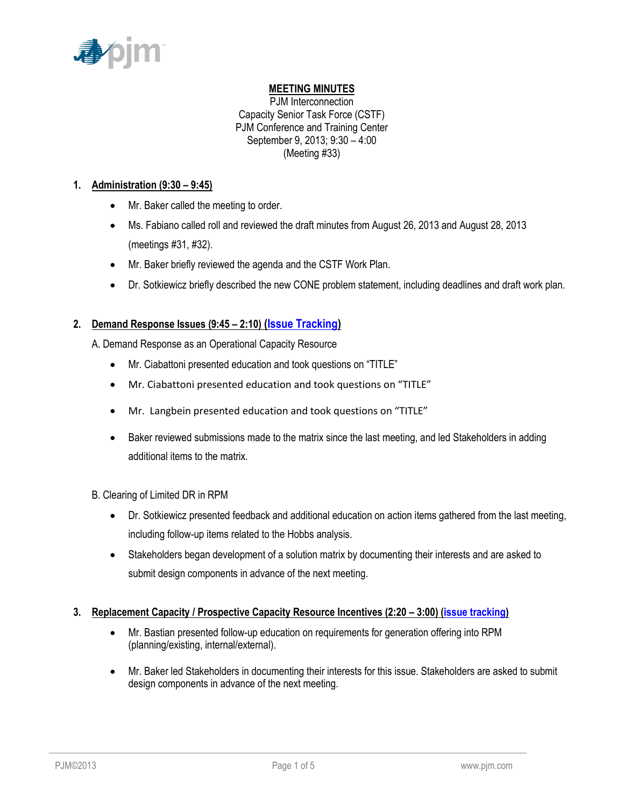

## **MEETING MINUTES**

PJM Interconnection Capacity Senior Task Force (CSTF) PJM Conference and Training Center September 9, 2013; 9:30 – 4:00 (Meeting #33)

### **1. Administration (9:30 – 9:45)**

- Mr. Baker called the meeting to order.
- Ms. Fabiano called roll and reviewed the draft minutes from August 26, 2013 and August 28, 2013 (meetings #31, #32).
- Mr. Baker briefly reviewed the agenda and the CSTF Work Plan.
- Dr. Sotkiewicz briefly described the new CONE problem statement, including deadlines and draft work plan.

## **2. Demand Response Issues (9:45 – 2:10) [\(Issue Tracking\)](http://www.pjm.com/committees-and-groups/issue-tracking/issue-tracking-details.aspx?Issue=%7bAEA1F820-69C5-414E-A040-6D52B2036E29%7d)**

A. Demand Response as an Operational Capacity Resource

- Mr. Ciabattoni presented education and took questions on "TITLE"
- Mr. Ciabattoni presented education and took questions on "TITLE"
- Mr. Langbein presented education and took questions on "TITLE"
- Baker reviewed submissions made to the matrix since the last meeting, and led Stakeholders in adding additional items to the matrix.
- B. Clearing of Limited DR in RPM
	- Dr. Sotkiewicz presented feedback and additional education on action items gathered from the last meeting, including follow-up items related to the Hobbs analysis.
	- Stakeholders began development of a solution matrix by documenting their interests and are asked to submit design components in advance of the next meeting.

## **3. Replacement Capacity / Prospective Capacity Resource Incentives (2:20 – 3:00) [\(issue tracking\)](http://pjm.com/committees-and-groups/issue-tracking/issue-tracking-details.aspx?Issue=%7b0D0E7DC9-432E-4207-B27D-9EF7D07ADC25%7d)**

- Mr. Bastian presented follow-up education on requirements for generation offering into RPM (planning/existing, internal/external).
- Mr. Baker led Stakeholders in documenting their interests for this issue. Stakeholders are asked to submit design components in advance of the next meeting.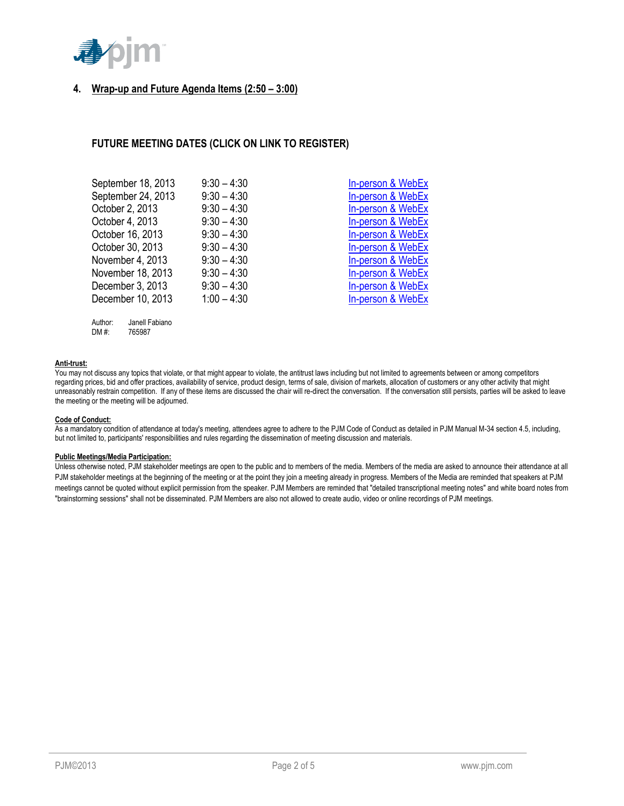

## **4. Wrap-up and Future Agenda Items (2:50 – 3:00)**

## **FUTURE MEETING DATES (CLICK ON LINK TO REGISTER)**

| September 18, 2013 | $9:30 - 4:30$ | In-person & WebEx |
|--------------------|---------------|-------------------|
| September 24, 2013 | $9:30 - 4:30$ | In-person & WebEx |
| October 2, 2013    | $9:30 - 4:30$ | In-person & WebEx |
| October 4, 2013    | $9:30 - 4:30$ | In-person & WebEx |
| October 16, 2013   | $9:30 - 4:30$ | In-person & WebEx |
| October 30, 2013   | $9:30 - 4:30$ | In-person & WebEx |
| November 4, 2013   | $9:30 - 4:30$ | In-person & WebEx |
| November 18, 2013  | $9:30 - 4:30$ | In-person & WebEx |
| December 3, 2013   | $9:30 - 4:30$ | In-person & WebEx |
| December 10, 2013  | $1:00 - 4:30$ | In-person & WebEx |
|                    |               |                   |

| Author: | Janell Fabiano |
|---------|----------------|
| DM #:   | 765987         |

#### **Anti-trust:**

You may not discuss any topics that violate, or that might appear to violate, the antitrust laws including but not limited to agreements between or among competitors regarding prices, bid and offer practices, availability of service, product design, terms of sale, division of markets, allocation of customers or any other activity that might unreasonably restrain competition. If any of these items are discussed the chair will re-direct the conversation. If the conversation still persists, parties will be asked to leave the meeting or the meeting will be adjourned.

#### **Code of Conduct:**

As a mandatory condition of attendance at today's meeting, attendees agree to adhere to the PJM Code of Conduct as detailed in PJM Manual M-34 section 4.5, including, but not limited to, participants' responsibilities and rules regarding the dissemination of meeting discussion and materials.

#### **Public Meetings/Media Participation:**

Unless otherwise noted, PJM stakeholder meetings are open to the public and to members of the media. Members of the media are asked to announce their attendance at all PJM stakeholder meetings at the beginning of the meeting or at the point they join a meeting already in progress. Members of the Media are reminded that speakers at PJM meetings cannot be quoted without explicit permission from the speaker. PJM Members are reminded that "detailed transcriptional meeting notes" and white board notes from "brainstorming sessions" shall not be disseminated. PJM Members are also not allowed to create audio, video or online recordings of PJM meetings.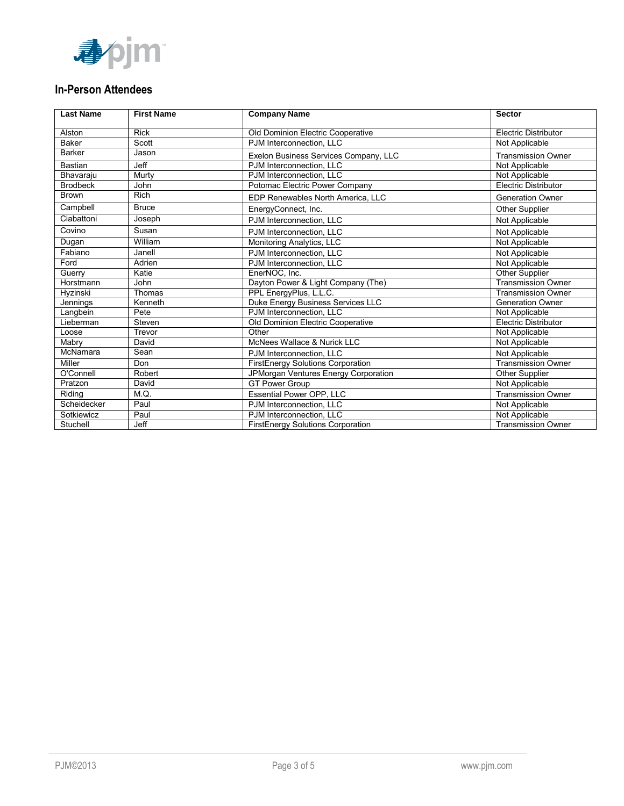

# **In-Person Attendees**

| <b>Last Name</b> | <b>First Name</b> | <b>Company Name</b>                   | <b>Sector</b>               |
|------------------|-------------------|---------------------------------------|-----------------------------|
| Alston           | <b>Rick</b>       | Old Dominion Electric Cooperative     | <b>Electric Distributor</b> |
| <b>Baker</b>     | Scott             | PJM Interconnection. LLC              | Not Applicable              |
| <b>Barker</b>    | Jason             | Exelon Business Services Company, LLC | <b>Transmission Owner</b>   |
| <b>Bastian</b>   | <b>Jeff</b>       | PJM Interconnection, LLC              | Not Applicable              |
| Bhavaraju        | Murty             | PJM Interconnection, LLC              | Not Applicable              |
| <b>Brodbeck</b>  | John              | Potomac Electric Power Company        | <b>Electric Distributor</b> |
| <b>Brown</b>     | <b>Rich</b>       | EDP Renewables North America, LLC     | <b>Generation Owner</b>     |
| Campbell         | <b>Bruce</b>      | EnergyConnect, Inc.                   | Other Supplier              |
| Ciabattoni       | Joseph            | PJM Interconnection. LLC              | Not Applicable              |
| Covino           | Susan             | PJM Interconnection, LLC              | Not Applicable              |
| Dugan            | William           | Monitoring Analytics, LLC             | Not Applicable              |
| Fabiano          | Janell            | PJM Interconnection. LLC              | Not Applicable              |
| Ford             | Adrien            | PJM Interconnection. LLC              | Not Applicable              |
| Guerry           | Katie             | EnerNOC. Inc.                         | <b>Other Supplier</b>       |
| Horstmann        | John              | Dayton Power & Light Company (The)    | <b>Transmission Owner</b>   |
| Hyzinski         | Thomas            | PPL EnergyPlus, L.L.C.                | <b>Transmission Owner</b>   |
| Jennings         | Kenneth           | Duke Energy Business Services LLC     | <b>Generation Owner</b>     |
| Langbein         | Pete              | PJM Interconnection, LLC              | Not Applicable              |
| Lieberman        | Steven            | Old Dominion Electric Cooperative     | <b>Electric Distributor</b> |
| Loose            | Trevor            | Other                                 | Not Applicable              |
| Mabry            | David             | McNees Wallace & Nurick LLC           | Not Applicable              |
| McNamara         | Sean              | PJM Interconnection, LLC              | Not Applicable              |
| Miller           | Don               | FirstEnergy Solutions Corporation     | <b>Transmission Owner</b>   |
| O'Connell        | Robert            | JPMorgan Ventures Energy Corporation  | <b>Other Supplier</b>       |
| Pratzon          | David             | <b>GT Power Group</b>                 | Not Applicable              |
| Riding           | M.Q.              | Essential Power OPP, LLC              | <b>Transmission Owner</b>   |
| Scheidecker      | Paul              | PJM Interconnection. LLC              | Not Applicable              |
| Sotkiewicz       | Paul              | PJM Interconnection, LLC              | Not Applicable              |
| Stuchell         | Jeff              | FirstEnergy Solutions Corporation     | <b>Transmission Owner</b>   |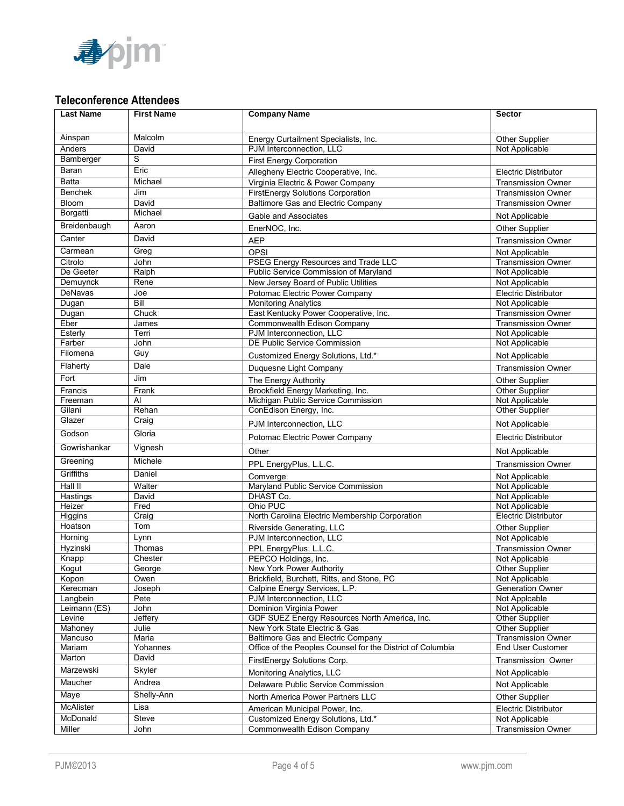

# **Teleconference Attendees**

| <b>Last Name</b>        | <b>First Name</b> | <b>Company Name</b>                                                                   | <b>Sector</b>                                 |
|-------------------------|-------------------|---------------------------------------------------------------------------------------|-----------------------------------------------|
|                         |                   |                                                                                       |                                               |
| Ainspan                 | Malcolm           | Energy Curtailment Specialists, Inc.                                                  | Other Supplier                                |
| Anders                  | David<br>S        | PJM Interconnection, LLC                                                              | Not Applicable                                |
| Bamberger               |                   | <b>First Energy Corporation</b>                                                       |                                               |
| Baran                   | Eric              | Allegheny Electric Cooperative, Inc.                                                  | <b>Electric Distributor</b>                   |
| <b>Batta</b>            | Michael           | Virginia Electric & Power Company                                                     | <b>Transmission Owner</b>                     |
| <b>Benchek</b><br>Bloom | Jim               | <b>FirstEnergy Solutions Corporation</b><br><b>Baltimore Gas and Electric Company</b> | <b>Transmission Owner</b>                     |
| Borgatti                | David<br>Michael  |                                                                                       | <b>Transmission Owner</b>                     |
| Breidenbaugh            | Aaron             | Gable and Associates                                                                  | Not Applicable                                |
|                         |                   | EnerNOC, Inc.                                                                         | Other Supplier                                |
| Canter                  | David             | <b>AEP</b>                                                                            | <b>Transmission Owner</b>                     |
| Carmean                 | Greg              | <b>OPSI</b>                                                                           | Not Applicable                                |
| Citrolo                 | John              | <b>PSEG Energy Resources and Trade LLC</b>                                            | <b>Transmission Owner</b>                     |
| De Geeter               | Ralph             | Public Service Commission of Maryland                                                 | Not Applicable                                |
| Demuynck<br>DeNavas     | Rene<br>Joe       | New Jersey Board of Public Utilities                                                  | Not Applicable<br><b>Electric Distributor</b> |
| Dugan                   | Bill              | Potomac Electric Power Company<br><b>Monitoring Analytics</b>                         | Not Applicable                                |
| Dugan                   | Chuck             | East Kentucky Power Cooperative, Inc.                                                 | <b>Transmission Owner</b>                     |
| Eber                    | James             | Commonwealth Edison Company                                                           | <b>Transmission Owner</b>                     |
| Esterly                 | Terri             | PJM Interconnection, LLC                                                              | Not Applicable                                |
| Farber                  | John              | DE Public Service Commission                                                          | Not Applicable                                |
| Filomena                | Guy               | Customized Energy Solutions, Ltd.*                                                    | Not Applicable                                |
| Flaherty                | Dale              | Duquesne Light Company                                                                | <b>Transmission Owner</b>                     |
| Fort                    | Jim               | The Energy Authority                                                                  | Other Supplier                                |
| Francis                 | Frank             | Brookfield Energy Marketing, Inc.                                                     | <b>Other Supplier</b>                         |
| Freeman                 | Al                | Michigan Public Service Commission                                                    | Not Applicable                                |
| Gilani                  | Rehan             | ConEdison Energy, Inc.                                                                | Other Supplier                                |
| Glazer                  | Craig             | PJM Interconnection, LLC                                                              | Not Applicable                                |
| Godson                  | Gloria            | Potomac Electric Power Company                                                        | Electric Distributor                          |
| Gowrishankar            | Vignesh           | Other                                                                                 | Not Applicable                                |
| Greening                | Michele           | PPL EnergyPlus, L.L.C.                                                                | <b>Transmission Owner</b>                     |
| <b>Griffiths</b>        | Daniel            | Comverge                                                                              | Not Applicable                                |
| Hall II                 | Walter            | Maryland Public Service Commission                                                    | Not Applicable                                |
| Hastings                | David             | DHAST Co.                                                                             | Not Applicable                                |
| Heizer                  | Fred              | Ohio PUC                                                                              | Not Applicable                                |
| Higgins                 | Craig             | North Carolina Electric Membership Corporation                                        | Electric Distributor                          |
| Hoatson                 | Tom               | Riverside Generating, LLC                                                             | Other Supplier                                |
| Horning                 | Lynn              | PJM Interconnection, LLC                                                              | Not Applicable                                |
| Hyzinski                | Thomas            | PPL EnergyPlus, L.L.C.<br>PEPCO Holdings, Inc.                                        | <b>Transmission Owner</b>                     |
| Knapp<br>Kogut          | Chester<br>George | New York Power Authority                                                              | Not Applicable<br><b>Other Supplier</b>       |
| Kopon                   | Owen              | Brickfield, Burchett, Ritts, and Stone, PC                                            | Not Applicable                                |
| Kerecman                | Joseph            | Calpine Energy Services, L.P.                                                         | Generation Owner                              |
| Langbein                | Pete              | PJM Interconnection, LLC                                                              | Not Applcable                                 |
| Leimann (ES)            | John              | Dominion Virginia Power                                                               | Not Applicable                                |
| Levine                  | Jeffery           | GDF SUEZ Energy Resources North America, Inc.                                         | Other Supplier                                |
| Mahoney                 | Julie             | New York State Electric & Gas                                                         | <b>Other Supplier</b>                         |
| Mancuso                 | Maria             | Baltimore Gas and Electric Company                                                    | <b>Transmission Owner</b>                     |
| Mariam<br>Marton        | Yohannes<br>David | Office of the Peoples Counsel for the District of Columbia                            | End User Customer<br>Transmission Owner       |
| Marzewski               | Skyler            | FirstEnergy Solutions Corp.<br>Monitoring Analytics, LLC                              | Not Applicable                                |
| Maucher                 | Andrea            | Delaware Public Service Commission                                                    | Not Applicable                                |
| Maye                    | Shelly-Ann        | North America Power Partners LLC                                                      | Other Supplier                                |
| McAlister               | Lisa              | American Municipal Power, Inc.                                                        | Electric Distributor                          |
| McDonald                | Steve             | Customized Energy Solutions, Ltd.*                                                    | Not Applicable                                |
| Miller                  | John              | Commonwealth Edison Company                                                           | <b>Transmission Owner</b>                     |
|                         |                   |                                                                                       |                                               |